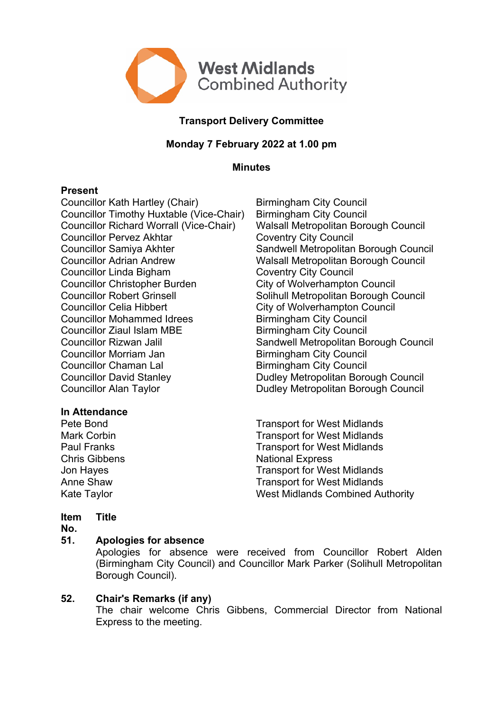

# **Transport Delivery Committee**

# **Monday 7 February 2022 at 1.00 pm**

**Minutes**

## **Present**

Councillor Kath Hartley (Chair) Birmingham City Council Councillor Timothy Huxtable (Vice-Chair) Birmingham City Council Councillor Richard Worrall (Vice-Chair) Walsall Metropolitan Borough Council Councillor Pervez Akhtar Coventry City Council Councillor Samiya Akhter Sandwell Metropolitan Borough Council Councillor Adrian Andrew Walsall Metropolitan Borough Council Councillor Linda Bigham Coventry City Council Councillor Christopher Burden City of Wolverhampton Council Councillor Robert Grinsell Solihull Metropolitan Borough Council Councillor Celia Hibbert Council Councillor Celia Hibbert Council<br>
Councillor Mohammed Idrees Birmingham City Council Councillor Mohammed Idrees Councillor Ziaul Islam MBE Birmingham City Council Councillor Rizwan Jalil **Sandwell Metropolitan Borough Council** Councillor Morriam Jan Birmingham City Council Councillor Chaman Lal Birmingham City Council Councillor David Stanley **Dudley Metropolitan Borough Council** Councillor Alan Taylor **Dudley Metropolitan Borough Council** 

## **In Attendance**

Pete Bond Transport for West Midlands Mark Corbin **Mark Corpinsol** Corpinson Transport for West Midlands Paul Franks Transport for West Midlands Chris Gibbens National Express Jon Hayes **Transport for West Midlands** Anne Shaw Transport for West Midlands Kate Taylor **West Midlands Combined Authority** 

#### **Item Title**

**No.**

#### **51. Apologies for absence**

Apologies for absence were received from Councillor Robert Alden (Birmingham City Council) and Councillor Mark Parker (Solihull Metropolitan Borough Council).

## **52. Chair's Remarks (if any)**

The chair welcome Chris Gibbens, Commercial Director from National Express to the meeting.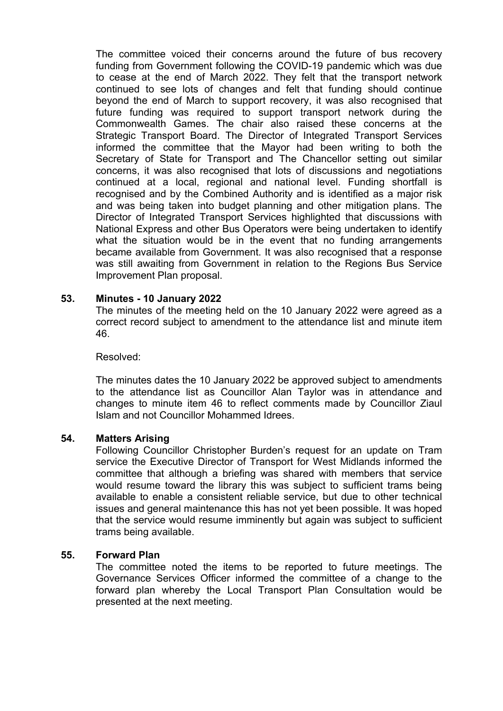The committee voiced their concerns around the future of bus recovery funding from Government following the COVID-19 pandemic which was due to cease at the end of March 2022. They felt that the transport network continued to see lots of changes and felt that funding should continue beyond the end of March to support recovery, it was also recognised that future funding was required to support transport network during the Commonwealth Games. The chair also raised these concerns at the Strategic Transport Board. The Director of Integrated Transport Services informed the committee that the Mayor had been writing to both the Secretary of State for Transport and The Chancellor setting out similar concerns, it was also recognised that lots of discussions and negotiations continued at a local, regional and national level. Funding shortfall is recognised and by the Combined Authority and is identified as a major risk and was being taken into budget planning and other mitigation plans. The Director of Integrated Transport Services highlighted that discussions with National Express and other Bus Operators were being undertaken to identify what the situation would be in the event that no funding arrangements became available from Government. It was also recognised that a response was still awaiting from Government in relation to the Regions Bus Service Improvement Plan proposal.

### **53. Minutes - 10 January 2022**

The minutes of the meeting held on the 10 January 2022 were agreed as a correct record subject to amendment to the attendance list and minute item 46.

#### Resolved:

The minutes dates the 10 January 2022 be approved subject to amendments to the attendance list as Councillor Alan Taylor was in attendance and changes to minute item 46 to reflect comments made by Councillor Ziaul Islam and not Councillor Mohammed Idrees.

#### **54. Matters Arising**

Following Councillor Christopher Burden's request for an update on Tram service the Executive Director of Transport for West Midlands informed the committee that although a briefing was shared with members that service would resume toward the library this was subject to sufficient trams being available to enable a consistent reliable service, but due to other technical issues and general maintenance this has not yet been possible. It was hoped that the service would resume imminently but again was subject to sufficient trams being available.

#### **55. Forward Plan**

The committee noted the items to be reported to future meetings. The Governance Services Officer informed the committee of a change to the forward plan whereby the Local Transport Plan Consultation would be presented at the next meeting.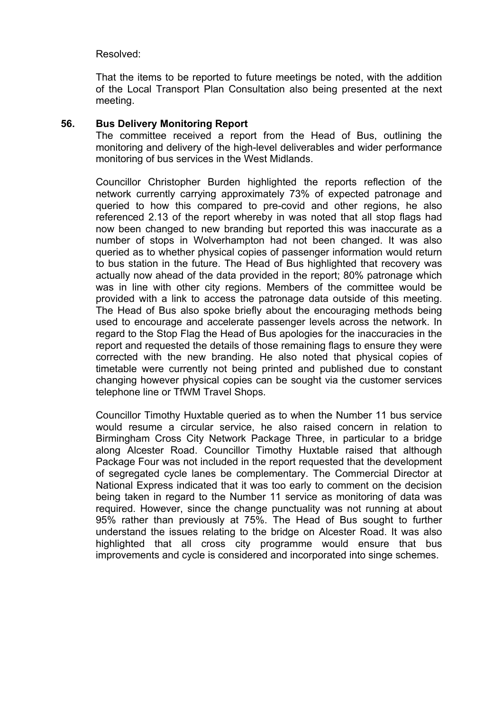## Resolved:

That the items to be reported to future meetings be noted, with the addition of the Local Transport Plan Consultation also being presented at the next meeting.

### **56. Bus Delivery Monitoring Report**

The committee received a report from the Head of Bus, outlining the monitoring and delivery of the high-level deliverables and wider performance monitoring of bus services in the West Midlands.

Councillor Christopher Burden highlighted the reports reflection of the network currently carrying approximately 73% of expected patronage and queried to how this compared to pre-covid and other regions, he also referenced 2.13 of the report whereby in was noted that all stop flags had now been changed to new branding but reported this was inaccurate as a number of stops in Wolverhampton had not been changed. It was also queried as to whether physical copies of passenger information would return to bus station in the future. The Head of Bus highlighted that recovery was actually now ahead of the data provided in the report; 80% patronage which was in line with other city regions. Members of the committee would be provided with a link to access the patronage data outside of this meeting. The Head of Bus also spoke briefly about the encouraging methods being used to encourage and accelerate passenger levels across the network. In regard to the Stop Flag the Head of Bus apologies for the inaccuracies in the report and requested the details of those remaining flags to ensure they were corrected with the new branding. He also noted that physical copies of timetable were currently not being printed and published due to constant changing however physical copies can be sought via the customer services telephone line or TfWM Travel Shops.

Councillor Timothy Huxtable queried as to when the Number 11 bus service would resume a circular service, he also raised concern in relation to Birmingham Cross City Network Package Three, in particular to a bridge along Alcester Road. Councillor Timothy Huxtable raised that although Package Four was not included in the report requested that the development of segregated cycle lanes be complementary. The Commercial Director at National Express indicated that it was too early to comment on the decision being taken in regard to the Number 11 service as monitoring of data was required. However, since the change punctuality was not running at about 95% rather than previously at 75%. The Head of Bus sought to further understand the issues relating to the bridge on Alcester Road. It was also highlighted that all cross city programme would ensure that bus improvements and cycle is considered and incorporated into singe schemes.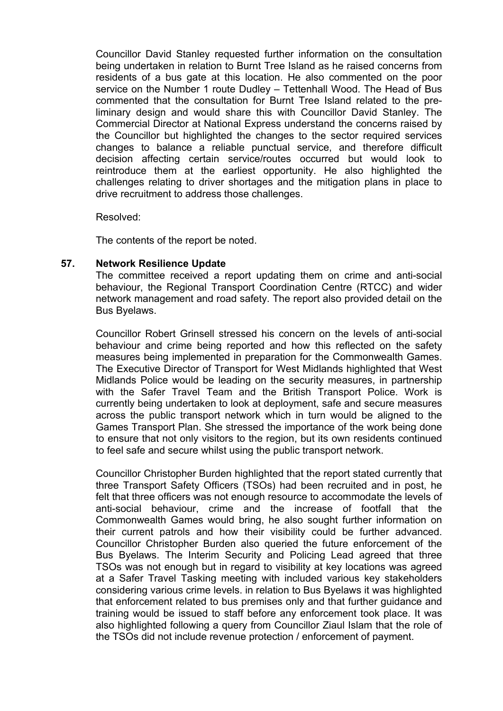Councillor David Stanley requested further information on the consultation being undertaken in relation to Burnt Tree Island as he raised concerns from residents of a bus gate at this location. He also commented on the poor service on the Number 1 route Dudley – Tettenhall Wood. The Head of Bus commented that the consultation for Burnt Tree Island related to the preliminary design and would share this with Councillor David Stanley. The Commercial Director at National Express understand the concerns raised by the Councillor but highlighted the changes to the sector required services changes to balance a reliable punctual service, and therefore difficult decision affecting certain service/routes occurred but would look to reintroduce them at the earliest opportunity. He also highlighted the challenges relating to driver shortages and the mitigation plans in place to drive recruitment to address those challenges.

#### Resolved:

The contents of the report be noted.

### **57. Network Resilience Update**

The committee received a report updating them on crime and anti-social behaviour, the Regional Transport Coordination Centre (RTCC) and wider network management and road safety. The report also provided detail on the Bus Byelaws.

Councillor Robert Grinsell stressed his concern on the levels of anti-social behaviour and crime being reported and how this reflected on the safety measures being implemented in preparation for the Commonwealth Games. The Executive Director of Transport for West Midlands highlighted that West Midlands Police would be leading on the security measures, in partnership with the Safer Travel Team and the British Transport Police. Work is currently being undertaken to look at deployment, safe and secure measures across the public transport network which in turn would be aligned to the Games Transport Plan. She stressed the importance of the work being done to ensure that not only visitors to the region, but its own residents continued to feel safe and secure whilst using the public transport network.

Councillor Christopher Burden highlighted that the report stated currently that three Transport Safety Officers (TSOs) had been recruited and in post, he felt that three officers was not enough resource to accommodate the levels of anti-social behaviour, crime and the increase of footfall that the Commonwealth Games would bring, he also sought further information on their current patrols and how their visibility could be further advanced. Councillor Christopher Burden also queried the future enforcement of the Bus Byelaws. The Interim Security and Policing Lead agreed that three TSOs was not enough but in regard to visibility at key locations was agreed at a Safer Travel Tasking meeting with included various key stakeholders considering various crime levels. in relation to Bus Byelaws it was highlighted that enforcement related to bus premises only and that further guidance and training would be issued to staff before any enforcement took place. It was also highlighted following a query from Councillor Ziaul Islam that the role of the TSOs did not include revenue protection / enforcement of payment.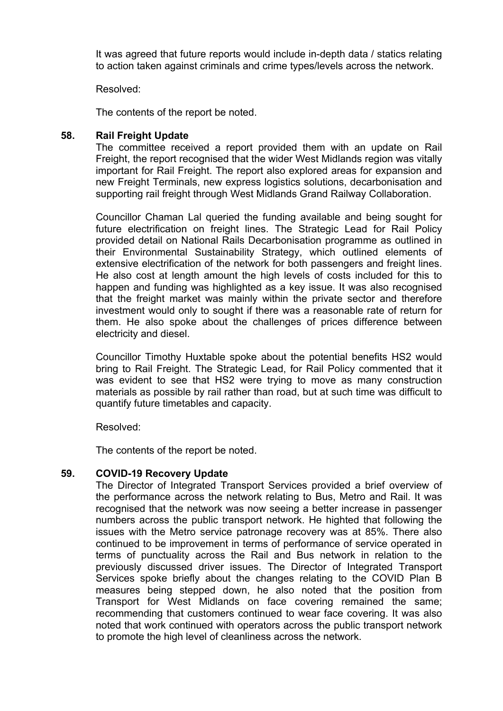It was agreed that future reports would include in-depth data / statics relating to action taken against criminals and crime types/levels across the network.

Resolved:

The contents of the report be noted.

## **58. Rail Freight Update**

The committee received a report provided them with an update on Rail Freight, the report recognised that the wider West Midlands region was vitally important for Rail Freight. The report also explored areas for expansion and new Freight Terminals, new express logistics solutions, decarbonisation and supporting rail freight through West Midlands Grand Railway Collaboration.

Councillor Chaman Lal queried the funding available and being sought for future electrification on freight lines. The Strategic Lead for Rail Policy provided detail on National Rails Decarbonisation programme as outlined in their Environmental Sustainability Strategy, which outlined elements of extensive electrification of the network for both passengers and freight lines. He also cost at length amount the high levels of costs included for this to happen and funding was highlighted as a key issue. It was also recognised that the freight market was mainly within the private sector and therefore investment would only to sought if there was a reasonable rate of return for them. He also spoke about the challenges of prices difference between electricity and diesel.

Councillor Timothy Huxtable spoke about the potential benefits HS2 would bring to Rail Freight. The Strategic Lead, for Rail Policy commented that it was evident to see that HS2 were trying to move as many construction materials as possible by rail rather than road, but at such time was difficult to quantify future timetables and capacity.

Resolved:

The contents of the report be noted.

## **59. COVID-19 Recovery Update**

The Director of Integrated Transport Services provided a brief overview of the performance across the network relating to Bus, Metro and Rail. It was recognised that the network was now seeing a better increase in passenger numbers across the public transport network. He highted that following the issues with the Metro service patronage recovery was at 85%. There also continued to be improvement in terms of performance of service operated in terms of punctuality across the Rail and Bus network in relation to the previously discussed driver issues. The Director of Integrated Transport Services spoke briefly about the changes relating to the COVID Plan B measures being stepped down, he also noted that the position from Transport for West Midlands on face covering remained the same; recommending that customers continued to wear face covering. It was also noted that work continued with operators across the public transport network to promote the high level of cleanliness across the network.